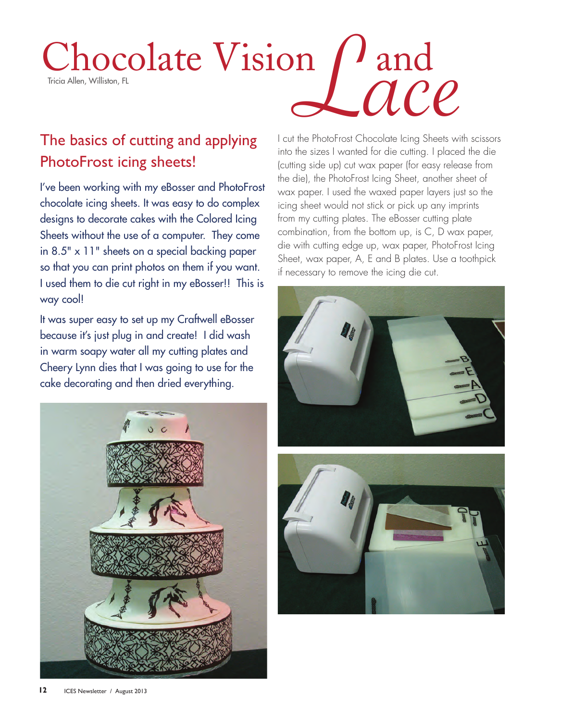# Chocolate Vision / and Chocolate Vision  $\int$  and<br>Tricia Allen, Williston, FL<br>The basics of cutting and applying Leut the PhotoFrost Chocolate lcing Sheets with

## The basics of cutting and applying PhotoFrost icing sheets!

I've been working with my eBosser and PhotoFrost chocolate icing sheets. It was easy to do complex designs to decorate cakes with the Colored Icing Sheets without the use of a computer. They come in 8.5" x 11" sheets on a special backing paper so that you can print photos on them if you want. I used them to die cut right in my eBosser!! This is way cool!

It was super easy to set up my Craftwell eBosser because it's just plug in and create! I did wash in warm soapy water all my cutting plates and Cheery Lynn dies that I was going to use for the cake decorating and then dried everything.



I cut the PhotoFrost Chocolate Icing Sheets with scissors into the sizes I wanted for die cutting. I placed the die (cutting side up) cut wax paper (for easy release from the die), the PhotoFrost Icing Sheet, another sheet of wax paper. I used the waxed paper layers just so the icing sheet would not stick or pick up any imprints from my cutting plates. The eBosser cutting plate combination, from the bottom up, is C, D wax paper, die with cutting edge up, wax paper, PhotoFrost Icing Sheet, wax paper, A, E and B plates. Use a toothpick if necessary to remove the icing die cut.